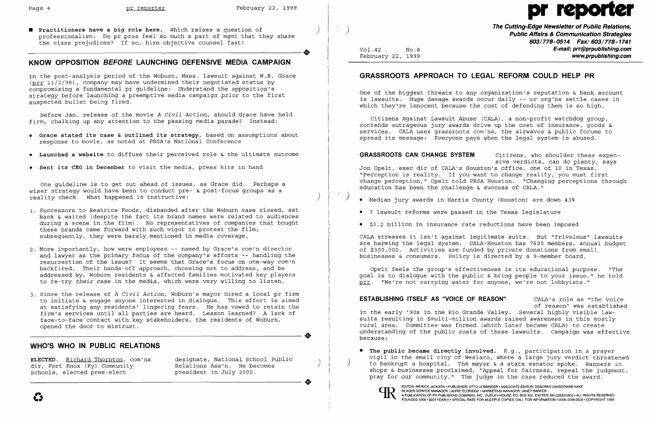**•** Practitioners have a big role here. Which raises a question of professionalism: Do pr pros feel so much a part of mgmt that they share<br>the class prejudices? If so, hire objective counsel fast!<br>WAIOWE OPPOSITION REFORE LAUNCHING DEFENSIVE MEDIA CAMPAIGN the class prejudices? If so, hire objective counsel fast!

In the post-analysis period of the Woburn, Mass. lawsuit against W.R. Grace (prr 11/2/98), company may have undermined their negotiated status by compromising a fundamental pr guideline: Understand the opposition's strategy before launching a preemptive media campaign *prior* to the first suspected bullet being fired.

# **KNOW OPPOSITION BEFORE LAUNCHING DEFENSIVE MEDIA CAMPAIGN**

One guideline is to get out ahead of issues, as Grace did. Perhaps a wiser strategy would have been to conduct pre- & post-focus groups as a reality check. What happened is instructive:

Before Jan. release of the movie *A Civil Action,* should Grace have held firm, chalking up any attention to the passing media parade? Instead:

- **• Grace stated its case & outlined its strategy,** based on assumptions about response to movie, as noted at PRSA's National Conference
- **• Launched a website** to diffuse their perceived role & the ultimate outcome
- **• Sent its CEO in December** to visit the media, press kits in hand

- 1. Successors to Beatrice Foods, disbanded after the Woburn case closed, sat back & waited (despite the fact its brand names were related to audiences during a scene in the film). No representatives of companies that bought these brands came forward with such vigor to protest the film; subsequently, they were barely mentioned in media coverage.
- 2. More importantly, how were employees -- named by Grace's com'n director and lawyer as the primary focus of the company's efforts -- handling the resurrection of the issue? It seems that Grace's focus on one-way com'n backfired. Their hands-off approach, choosing not to address, and be addressed by, Woburn residents & affected families motivated key players to re-try *their* case in the media, which were very willing to listen. Ī
- 3. Since the release of *A Civil Action,* Woburn's mayor hired a local pr firm to initiate & engage anyone interested in dialogue. This effort is aimed at satisfying any residents' lingering fears. He has vowed to retain the firm's services until all parties are heard. Lesson learned? A lack of face-to-face contact with key stakeholders, the residents of Woburn, opened the door to mistrust.

**The Cutting-Edge Newsletter of Public Relations,** ) **Public Affairs & Communication Strategies 603/778-0514 Fax: 603/778-1741**  Vol.42 NO.8 **E-mail: prr@prpublishing.com**  www.prpublishing.com

One of the biggest threats to any organization's reputation & bank account is lawsuits. Huge damage awards occur daily -- or org'ns settle cases in which they're innocent because the cost of defending them is so high.

Opelt feels the group's effectiveness is its educational purpose. "The goal is to dialogue with the public & bring people to your issue," he told prr. "We're not carrying water for anyone, we're not lobbyists."

**ESTABLISHING ITSELF AS "VOICE OF REASON"** CALA's role as "the voice of reason" was established in the early '90s in the Rio Grande Valley. Several highly visible lawsuits resulting in \$multi-million awards raised awareness in this mostly rural area. Committee was formed (which later became CALA) to create understanding of the public costs of these lawsuits. Campaign was effective because:

• The public became directly involved. E.g., participation in a prayer vigil in the small city of Weslaco, where a large jury verdict threatened pray for our community." The judge in the case reduced the award.

**•** 

 $( )$ 

**•** 

## **WHO'S WHO IN PUBLIC RELATIONS**

Schools, elected pres-elect

**ELECTED.** Richard Thornton, com'ns designate, National School Public dir, Fort Knox (Ky) Community Relations Ass'n. He becomes Relations Ass'n. He becomes president in July 2000.

to bankrupt a hospital. The mayor & a state senator spoke. Banners in shops & businesses proclaimed, "Appeal for fairness, repeal the judgment,



# Page 4 **pr reporter** February 22, 1999 pr reporter February 22, 1999

# **GRASSROOTS APPROACH TO LEGAL REFORM COULD HELP PR**

Citizens Against Lawsuit Abuse (CALA), a non-profit watchdog group, contends outrageous jury awards drive up the cost of insurance, goods & services. CALA uses grassroots com'ns, the airwaves & public forums to spread its message: Everyone pays when the legal system is abused.

**GRASSROOTS CAN CHANGE SYSTEM** Citizens, who shoulder these expensive verdicts, can do plenty, says Jon Opelt, exec dir of CALA's Houston's office, one of 10 in Texas. "Perception is reality. If you want to change reality, you must first change perception," Opelt told PRSA Houston. "Changing perceptions through education has been the challenge & success of CALA."

- • Median jury awards in Harris County (Houston) are down 43~
- • 7 lawsuit reforms were passed in the Texas legislature
- • \$2.2 billion in insurance rate reductions have been imposed

CALA stresses it isn't against legitimate suits. But "frivolous" lawsuits are harming the legal system. CALA-Houston has 7600 members, annual budget of \$300,000. Activities are funded by private donations from small businesses & consumers. Policy is directed by a 9-member board.

READER SERVICE MANAGER, LAURIE ELDRIDGE· MARKETING MANAGER, JANET BARKER